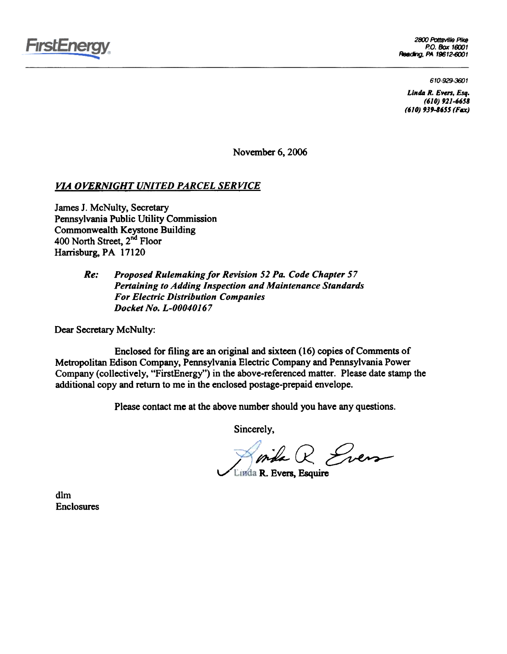

2800 PottsvIlle PIke P.O. Box 16001 Reading, PA 19612-6001

610-929-3601

Linda R. Evers, Esq. (610) 921-6658 (610) 939-8655 (Fax)

November 6, 2006

# VIA OVERNIGHT UNITED PARCEL SERVICE

James J. McNulty, Secretary Pennsylvania Public Utility Commission Commonwealth Keystone Building 400 North Street, 2<sup>nd</sup> Floor Harrisburg, PA 17120

#### Proposed Rulemaking for Revision 52 Pa. Code Chapter 57 Pertaining to Adding Inspection and Maintenance Standards For Electric Distribution Companies Docket No. L-00040167 Re:

Dear Secretary McNulty:

Enclosed for filing are an original and sixteen (16) copies of Comments of Metropolitan Edison Company, Pennsylvania Electric Company and Pennsylvania Power Company (collectively, "FirstEnergy") in the above-referenced matter. Please date stamp the additional copy and return to me in the enclosed postage-prepaid envelope.

Please contact me at the above number should you have any questions.

Sincerely,

 $W$  inthe  $R$  Even

Linda R. Evers, Esquire v

dIm Enclosures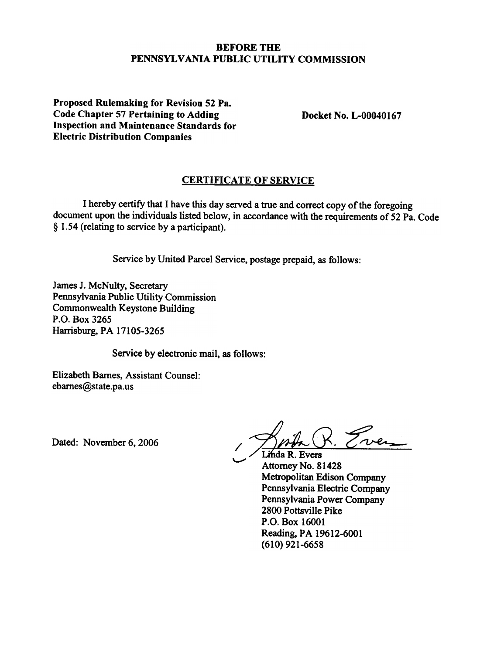# BEFORE THE PENNSYLVANIA PUBLIC UTILITY COMMISSION

Proposed Rulemaking for Revision 52 Pa. Code Chapter 57 Pertaining to Adding Inspection and Maintenance Standards for Electric Distribution Companies

Docket No. L-OOO40167

# CERTIFICATE OF SERVICE

I hereby certify that I have this day served a true and correct copy of the foregoing document upon the individuals listed below, in accordance with the requirements of  $52$  Pa. Code § 1.54 (relating to service by a participant).

Service by United Parcel Service, postage prepaid, as follows:

'-'"'

James J. McNulty, Secretary Pennsylvania Public Utility Commission Commonwealth Keystone Building P.O. Box 3265 Harrisburg, PA 17105-3265

Service by electronic mail, as follows:

Elizabeth Barnes, Assistant Counsel: ebarnes@state.pa.us

Dated: November 6, 2006

Somba R. Even

Linda R. Evers Attorney No. 81428 Metropolitan Edison Company Pennsylvania Electric Company Pennsylvania Power Company 2800 Pottsville Pike P.O. Box 16001 Reading, PA 19612-6001 (610) 921-6658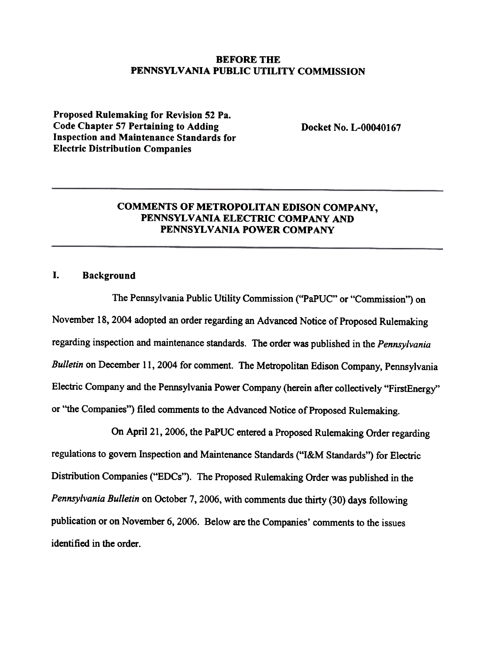# BEFORE THE PENNSYLVANIA PUBLIC UTILITY COMMISSION

Proposed Rulemaking for Revision 52 Pa. Code Chapter 57 Pertaining to Adding Inspection and Maintenance Standards for Electric Distribution Companies

Docket No. L-OOO40167

# COMMENTS OF METROPOLITAN EDISON COMPANY, PENNSYLVANIA ELECTRIC COMPANY AND PENNSYLVANIA POWER COMPANY

# I. Background

The Pennsylvania Public Utility Commission ("PaPUC" or "Commission") on November 18, 2004 adopted an order regarding an Advanced Notice of Proposed Rulemaking regarding inspection and maintenance standards. The order was published in the Pennsylvania Bulletin on December 11, 2004 for comment. The Metropolitan Edison Company, Pennsylvania Electric Company and the Pennsylvania Power Company (herein after collectively "FirstEnergy" or "the Companies") filed comments to the Advanced Notice of Proposed Rulemaking.

On April 21, 2006, the PaPUC entered a Proposed Rulemaking Order regarding regulations to govern Inspection and Maintenance Standards ("I&M Standards") for Electric Distribution Companies ("EDCs"). The Proposed Rulemaking Order was published in the Pennsylvania Bulletin on October 7, 2006, with comments due thirty (30) days following publication or on November 6, 2006. Below are the Companies' comments to the issues identified in the order.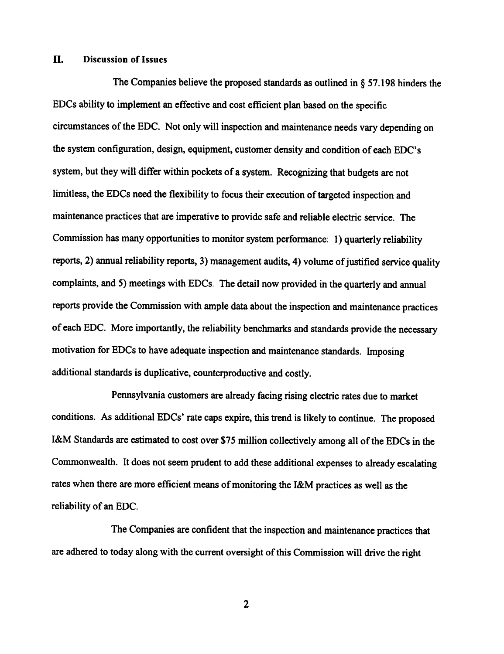#### II. Discussion of Issues

The Companies believe the proposed standards as outlined in § 57.198 hinders the EDCs ability to implement an effective and cost efficient plan based on the specific circumstances of the EDC. Not only will inspection and maintenance needs vary depending on the system configuration, design, equipment, customer density and condition of each EDC's system, but they will differ within pockets of a system. Recognizing that budgets are not limitless, the EDCs need the flexibility to focus their execution of targeted inspection and maintenance practices that are imperative to provide safe and reliable electric service. The Commission has many opportunities to monitor system performance: 1) quarterly reliability reports, 2) annual reliability reports, 3) management audits, 4) volume of justified service quality complaints, and 5) meetings with EDCs. The detail now provided in the quarterly and annual reports provide the Commission with ample data about the inspection and maintenance practices of each EDC. More importantly, the reliability benchmarks and standards provide the necessary motivation for EDCs to have adequate inspection and maintenance standards. Imposing additional standards is duplicative, counterproductive and costly.

Pennsylvania customers are already facing rising electric rates due to market conditions. As additional EDCs' rate caps expire, this trend is likely to continue. The proposed I&M Standards are estimated to cost over \$75 million collectively among all of the EDCs in the Commonwealth. It does not seem prudent to add these additional expenses to already escalating rates when there are more efficient means of monitoring the I&M practices as well as the reliability of an EDC.

The Companies are confident that the inspection and maintenance practices that are adhered to today along with the current oversight of this Commission will drive the right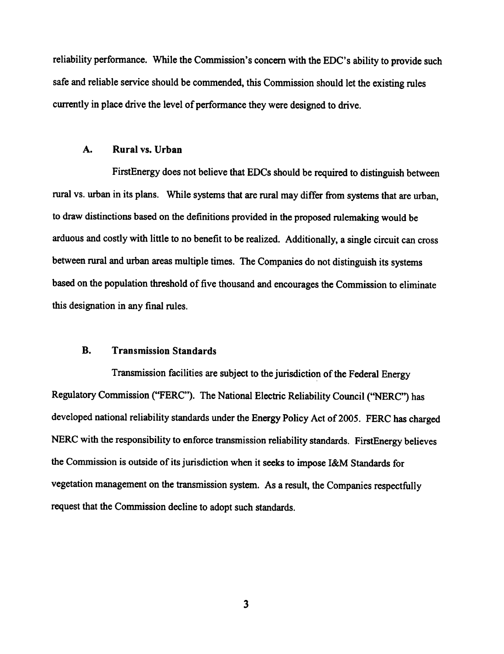reliability perfonnance. While the Commission's concern with the EDC's ability to provide such safe and reliable service should be commended, this Commission should let the existing rules currently in place drive the level of performance they were designed to drive.

#### A. Rural vs. Urban

FirstEnergy does not believe that EDCs should be required to distinguish between rural vs. urban in its plans. While systems that are rural may differ from systems that are urban, to draw distinctions based on the definitions provided in the proposed rulemaking would be arduous and costly with little to no benefit to be realized. Additionally, a single circuit can cross between rural and urban areas multiple times. The Companies do not distinguish its systems based on the population threshold of five thousand and encourages the Commission to eliminate this designation in any final rules.

### B. Transmission Standards

Transmission facilities are subject to the jurisdiction of the Federal Energy Regulatory Commission ("FERC"). The National Electric Reliability Council ("NERC") has developed national reliability standards under the Energy Policy Act of 2005. FERC has charged NERC with the responsibility to enforce transmission reliability standards. FirstEnergy believes the Commission is outside of its jurisdiction when it seeks to impose I&M Standards for vegetation management on the transmission system. As a result, the Companies respectfully request that the Commission decline to adopt such standards.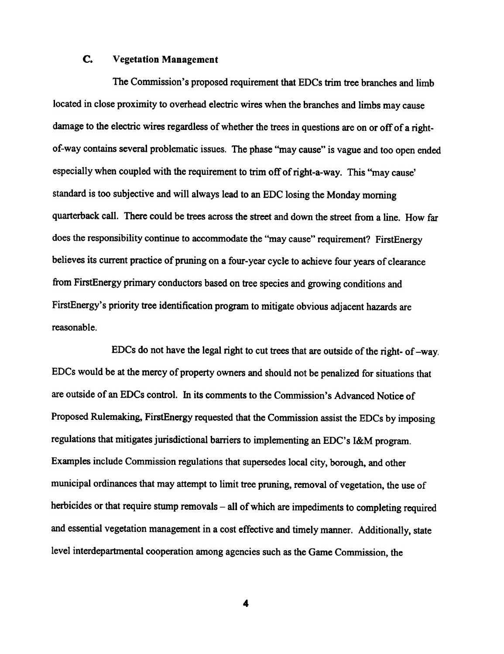# c. Vegetation Management

The Commission's proposed requirement that EDCs trim tree branches and limb located in close proximity to overhead electric wires when the branches and limbs may cause damage to the electric wires regardless of whether the trees in questions are on or off of a rightof-way contains several problematic issues. The phase "may cause" is vague and too open ended especially when coupled with the requirement to trim off of right-a-way. This "may cause" standard is too subjective and will always lead to an EDC losing the Monday morning quarterback call. There could be trees across the street and down the street from a line. How far does the responsibility continue to accommodate the "may cause" requirement? FirstEnergy believes its current practice of pruning on a four-year cycle to achieve four years of clearance from FirstEnergy primary conductors based on tree species and growing conditions and FirstEnergy's priority tree identification program to mitigate obvious adjacent hazards are reasonable.

EDCs do not have the legal right to cut trees that are outside of the right- of -way. EDCs would be at the mercy of property owners and should not be penalized for situations that are outside of an EDCs control. In its comments to the Commission's Advanced Notice of Proposed Rulemaking, FirstEnergy requested that the Commission assist the EDCs by imposing regulations that mitigates jurisdictional barriers to implementing an EDC's I&M program. Examples include Commission regulations that supersedes local city, borough, and other municipal ordinances that may attempt to limit tree pruning, removal of vegetation, the use of herbicides or that require stump removals - all of which are impediments to completing required and essential vegetation management in a cost effective and timely manner. Additionally, state level interdepartmental cooperation among agencies such as the Game Commission, the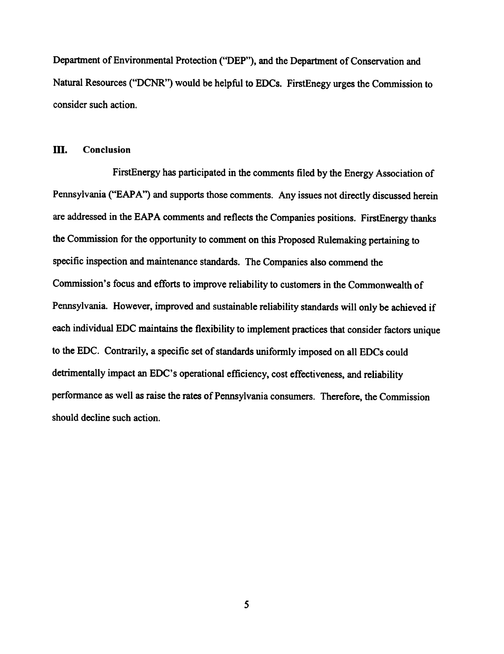Department of Environmental Protection ("DEP"), and the Department of Conservation and Natural Resources ("DCNR") would be helpful to EDCs. FirstEnegy urges the Commission to consider such action.

## **III.** Conclusion

FirstEnergy has participated in the comments filed by the Energy Association of Pennsylvania ("EAPA") and supports those comments. Any issues not directly discussed herein are addressed in the EAPA comments and reflects the Companies positions. FirstEnergy thanks the Commission for the opportunity to comment on this Proposed Rulemaking pertaining to specific inspection and maintenance standards. The Companies also commend the Commission's focus and efforts to improve reliability to customers in the Commonwealth of Pennsylvania. However, improved and sustainable reliability standards will only be achieved if each individual EDC maintains the flexibility to implement practices that consider factors unique to the EDC. Contrarily, a specific set of standards uniformly imposed on all EDCs could detrimentally impact an EDC's operational efficiency, cost effectiveness, and reliability performance as well as raise the rates of Pennsylvania consumers. Therefore, the Commission should decline such action.